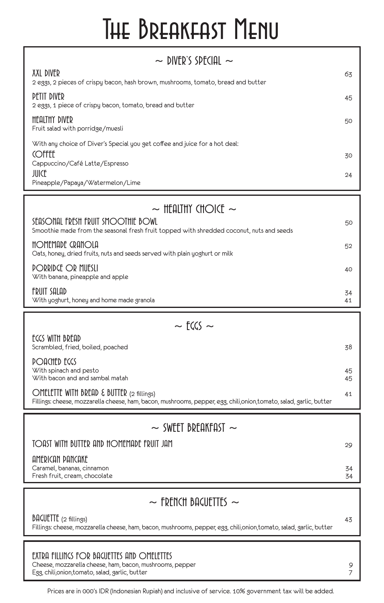## The Breakfast Menu

| $\sim$ DIVER'S SPECIAL $\sim$                                                                                                                                   |          |  |  |  |
|-----------------------------------------------------------------------------------------------------------------------------------------------------------------|----------|--|--|--|
| XXL DIVER<br>2 eggs, 2 pieces of crispy bacon, hash brown, mushrooms, tomato, bread and butter                                                                  | 63       |  |  |  |
| PETIT DIVER<br>2 eggs, 1 piece of crispy bacon, tomato, bread and butter                                                                                        | 45       |  |  |  |
| <b>HEALTHY DIVER</b><br>Fruit salad with porridge/muesli                                                                                                        | 50       |  |  |  |
| With any choice of Diver's Special you get coffee and juice for a hot deal:<br><b>COFFEE</b>                                                                    | 30       |  |  |  |
| Cappuccino/Café Latte/Espresso<br><b>JUICE</b>                                                                                                                  | 24       |  |  |  |
| Pineapple/Papaya/Watermelon/Lime                                                                                                                                |          |  |  |  |
| $\sim$ Healthy Choice $\sim$                                                                                                                                    |          |  |  |  |
| SEASONAL FRESH FRUIT SMOOTHIE BOWL<br>Smoothie made from the seasonal fresh fruit topped with shredded coconut, nuts and seeds                                  | 50       |  |  |  |
| HOMEMADE CRANOLA<br>Oats, honey, dried fruits, nuts and seeds served with plain yoghurt or milk                                                                 | 52       |  |  |  |
| PORRIDGE OR MUESLI<br>With banana, pineapple and apple                                                                                                          | 40       |  |  |  |
| FRUIT SALAD<br>With yoghurt, honey and home made granola                                                                                                        | 34<br>41 |  |  |  |
| $\sim$ FCCS $\sim$                                                                                                                                              |          |  |  |  |
| ECCS WITH BREAD<br>Scrambled, fried, boiled, poached                                                                                                            | 38       |  |  |  |
| <b>POACHED EGGS</b><br>With spinach and pesto<br>With bacon and and sambal matah                                                                                | 45<br>45 |  |  |  |
| OMELETTE WITH BREAD & BUTTER (2 fillings)<br>Fillings: cheese, mozzarella cheese, ham, bacon, mushrooms, pepper, egg, chili,onion,tomato, salad, garlic, butter | 41       |  |  |  |
|                                                                                                                                                                 |          |  |  |  |
| $\sim$ SWEET BREAKFAST $\sim$                                                                                                                                   |          |  |  |  |
| TOAST WITH BUTTER AND HOMEMADE FRUIT JAM                                                                                                                        | 29       |  |  |  |
| AMERICAN PANCAKE<br>Caramel, bananas, cinnamon<br>Fresh fruit, cream, chocolate                                                                                 | 34<br>34 |  |  |  |
|                                                                                                                                                                 |          |  |  |  |
| $\sim$ french bacuettes $\sim$                                                                                                                                  |          |  |  |  |
| $\beta$ ACUETTE (2 fillings)<br>Fillings: cheese, mozzarella cheese, ham, bacon, mushrooms, pepper, egg, chili,onion,tomato, salad, garlic, butter              | 43       |  |  |  |

EXTRA FILLINGS FOR BAGUETTES AND OMELETTES

Cheese, mozzarella cheese, ham, bacon, mushrooms, pepper 9 (1995) 1998 (1998) 1999 (1998) 1999 (1998) 1999 (19<br>Egg, chili,onion,tomato, salad, garlic, butter 1999 (1999) 1999 (1999) 1999 (1999) 1999 (1999) 1999 (1999) 19 Egg, chili,onion,tomato, salad, garlic, butter 7

Prices are in 000's IDR (Indonesian Rupiah) and inclusive of service. 10% government tax will be added.